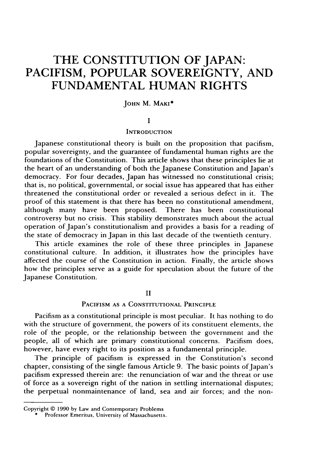# **THE CONSTITUTION OF JAPAN: PACIFISM, POPULAR SOVEREIGNTY, AND FUNDAMENTAL HUMAN RIGHTS**

## **JOHN** M. **MAKI\***

#### **I**

#### **INTRODUCTION**

Japanese constitutional theory is built on the proposition that pacifism, popular sovereignty, and the guarantee of fundamental human rights are the foundations of the Constitution. This article shows that these principles lie at the heart of an understanding of both the Japanese Constitution and Japan's democracy. For four decades, Japan has witnessed no constitutional crisis; that is, no political, governmental, or social issue has appeared that has either threatened the constitutional order or revealed a serious defect in it. The proof of this statement is that there has been no constitutional amendment, although many have been proposed. There has been constitutional controversy but no crisis. This stability demonstrates much about the actual operation of Japan's constitutionalism and provides a basis for a reading of the state of democracy in Japan in this last decade of the twentieth century.

This article examines the role of these three principles in Japanese constitutional culture. In addition, it illustrates how the principles have affected the course of the Constitution in action. Finally, the article shows how the principles serve as a guide for speculation about the future of the Japanese Constitution.

## II

### PACIFISM AS A CONSTITUTIONAL PRINCIPLE

Pacifism as a constitutional principle is most peculiar. It has nothing to do with the structure of government, the powers of its constituent elements, the role of the people, or the relationship between the government and the people, all of which are primary constitutional concerns. Pacifism does, however, have every right to its position as a fundamental principle.

The principle of pacifism is expressed in the Constitution's second chapter, consisting of the single famous Article 9. The basic points of Japan's pacifism expressed therein are: the renunciation of war and the threat or use of force as a sovereign right of the nation in settling international disputes; the perpetual nonmaintenance of land, sea and air forces; and the non-

Copyright **© 1990 by Law** and Contemporary Problems

 $\overline{\phantom{a}}$  Professor Emeritus, University of Massachusetts.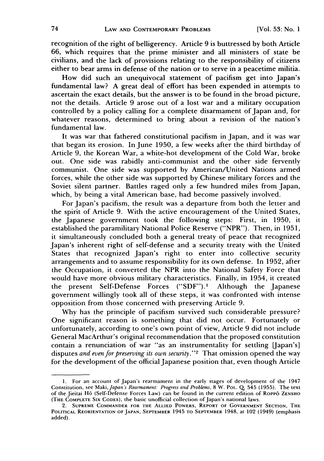recognition of the right of belligerency. Article 9 is buttressed by both Article 66, which requires that the prime minister and all ministers of state be civilians, and the lack of provisions relating to the responsibility of citizens either to bear arms in defense of the nation or to serve in a peacetime militia.

How did such an unequivocal statement of pacifism get into Japan's fundamental law? A great deal of effort has been expended in attempts to ascertain the exact details, but the answer is to be found in the broad picture, not the details. Article 9 arose out of a lost war and a military occupation controlled by a policy calling for a complete disarmament of Japan and, for whatever reasons, determined to bring about a revision of the nation's fundamental law.

It was war that fathered constitutional pacifism in Japan, and it was war that began its erosion. In June 1950, a few weeks after the third birthday of Article 9, the Korean War, a white-hot development of the Cold War, broke out. One side was rabidly anti-communist and the other side fervently communist. One side was supported by American/United Nations armed forces, while the other side was supported by Chinese military forces and the Soviet silent partner. Battles raged only a few hundred miles from Japan, which, by being a vital American base, had become passively involved.

For Japan's pacifism, the result was a departure from both the letter and the spirit of Article 9. With the active encouragement of the United States, the Japanese government took the following steps: First, in 1950, it established the paramilitary National Police Reserve ("NPR"). Then, in 1951, it simultaneously concluded both a general treaty of peace that recognized Japan's inherent right of self-defense and a security treaty with the United States that recognized Japan's right to enter into collective security arrangements and to assume responsibility for its own defense. In 1952, after the Occupation, it converted the NPR into the National Safety Force that would have more obvious military characteristics. Finally, in 1954, it created the present Self-Defense Forces ("SDF").I Although the Japanese government willingly took all of these steps, it was confronted with intense opposition from those concerned with preserving Article 9.

Why has the principle of pacifism survived such considerable pressure? One significant reason is something that did not occur. Fortunately or unfortunately, according to one's own point of view, Article 9 did not include General MacArthur's original recommendation that the proposed constitution contain a renunciation of war "as an instrumentality for settling [Japan's] disputes *and even for preserving its own security.*"<sup>2</sup> That omission opened the way for the development of the official Japanese position that, even though Article

**<sup>1.</sup>** For an account of Japan's rearmament in the early stages of development of the 1947 Constitution, see Maki, *Japan's Rearmament: Progress and Problems*, 8 W. Pol. Q. 545 (1955). The text of the Jieitai H6 (Self-Defense Forces Law) can be found in the current edition of RoPP6 **ZENSHO** (THE COMPLETE SIX CODES), the basic unofficial collection of Japan's national laws.

<sup>2.</sup> **SUPREME** COMMANDER **FOR** THE **ALLIED** POWERS, REPORT OF GOVERNMENT **SECTION,** THE POLITICAL REORIENTATION OF JAPAN, SEPTEMBER 1945 TO SEPTEMBER 1948, at 102 (1949) (emphasis added).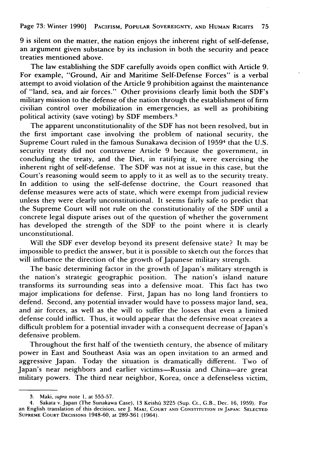Page 73: Winter 1990] PACIFISM, POPULAR SOVEREIGNTY, **AND HUMAN** RIGHTS **75**

9 is silent on the matter, the nation enjoys the inherent right of self-defense, an argument given substance by its inclusion in both the security and peace treaties mentioned above.

The law establishing the SDF carefully avoids open conflict with Article 9. For example, "Ground, Air and Maritime Self-Defense Forces" is a verbal attempt to avoid violation of the Article 9 prohibition against the maintenance of "land, sea, and air forces." Other provisions clearly limit both the SDF's military mission to the defense of the nation through the establishment of firm civilian control over mobilization in emergencies, as well as prohibiting political activity (save voting) by SDF members. <sup>3</sup>

The apparent unconstitutionality of the SDF has not been resolved, but in the first important case involving the problem of national security, the Supreme Court ruled in the famous Sunakawa decision of 19594 that the U.S. security treaty did not contravene Article 9 because the government, in concluding the treaty, and the Diet, in ratifying it, were exercising the inherent right of self-defense. The SDF was not at issue in this case, but the Court's reasoning would seem to apply to it as well as to the security treaty. In addition to using the self-defense doctrine, the Court reasoned that defense measures were acts of state, which were exempt from judicial review unless they were clearly unconstitutional. It seems fairly safe to predict that the Supreme Court will not rule on the constitutionality of the SDF until a concrete legal dispute arises out of the question **Qf** whether the government has developed the strength of the SDF to the point where it is clearly unconstitutional.

Will the SDF ever develop beyond its present defensive state? It may be impossible to predict the answer, but it is possible to sketch out the forces that will influence the direction of the growth of Japanese military strength.

The basic determining factor in the growth of Japan's military strength is the nation's strategic geographic position. The nation's island nature transforms its surrounding seas into a defensive moat. This fact has two major implications for defense. First, Japan has no long land frontiers to defend. Second, any potential invader would have to possess major land, sea, and air forces, as well as the will to suffer the losses that even a limited defense could inflict. Thus, it would appear that the defensive moat creates a difficult problem for a potential invader with a consequent decrease of Japan's defensive problem.

Throughout the first half of the twentieth century, the absence of military power in East and Southeast Asia was an open invitation to an armed and aggressive Japan. Today the situation is dramatically different. Two of Japan's near neighbors and earlier victims--Russia and China-are great military powers. The third near neighbor, Korea, once a defenseless victim,

<sup>3.</sup> Maki, supra note 1, at 555-57.

<sup>4.</sup> Sakata v. Japan (The Sunakawa Case), 13 Keishi 3225 (Sup. Ct., G.B., Dec. 16, 1959). For an English translation of this decision, see J. MAKI, **COURT AND CONSTITUTION IN JAPAN: SELECTED SUPREME COURT DECISIONS** 1948-60, at 289-361 (1964).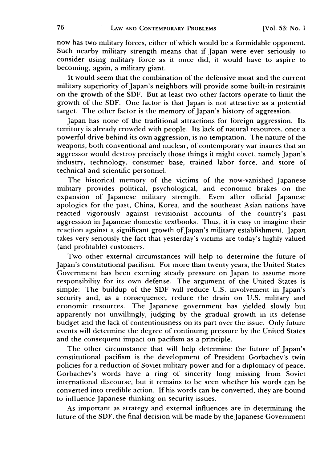now has two military forces, either of which would be a formidable opponent. Such nearby military strength means that if Japan were ever seriously to consider using military force as it once did, it would have to aspire to becoming, again, a military giant.

It would seem that the combination of the defensive moat and the current military superiority of Japan's neighbors will provide some built-in restraints on the growth of the SDF. But at least two other factors operate to limit the growth of the SDF. One factor is that Japan is not attractive as a potential target. The other factor is the memory of Japan's history of aggression.

Japan has none of the traditional attractions for foreign aggression. Its territory is already crowded with people. Its lack of natural resources, once a powerful drive behind its own aggression, is no temptation. The nature of the weapons, both conventional and nuclear, of contemporary war insures that an aggressor would destroy precisely those things it might covet, namely Japan's industry, technology, consumer base, trained labor force, and store of technical and scientific personnel.

The historical memory of the victims of the now-vanished Japanese military provides political, psychological, and economic brakes on the expansion of Japanese military strength. Even after official Japanese apologies for the past, China, Korea, and the southeast Asian nations have reacted vigorously against revisionist accounts of the country's past aggression in Japanese domestic textbooks. Thus, it is easy to imagine their reaction against a significant growth of Japan's military establishment. Japan takes very seriously the fact that yesterday's victims are today's highly valued (and profitable) customers.

Two other external circumstances will help to determine the future of Japan's constitutional pacifism. For more than twenty years, the United States Government has been exerting steady pressure on Japan to assume more responsibility for its own defense. The argument of the United States is simple: The buildup of the SDF will reduce U.S. involvement in Japan's security and, as a consequence, reduce the drain on U.S. military and economic resources. The Japanese government has yielded slowly but apparently not unwillingly, judging by the gradual growth in its defense budget and the lack of contentiousness on its part over the issue. Only future events will determine the degree of continuing pressure by the United States and the consequent impact on pacifism as a principle.

The other circumstance that will help determine the future of Japan's constitutional pacifism is the development of President Gorbachev's twin policies for a reduction of Soviet military power and for a diplomacy of peace. Gorbachev's words have a ring of sincerity long missing from Soviet international discourse, but it remains to be seen whether his words can be converted into credible action. If his words can be converted, they are bound to influence Japanese thinking on security issues.

As important as strategy and external influences are in determining the future of the SDF, the final decision will be made by the Japanese Government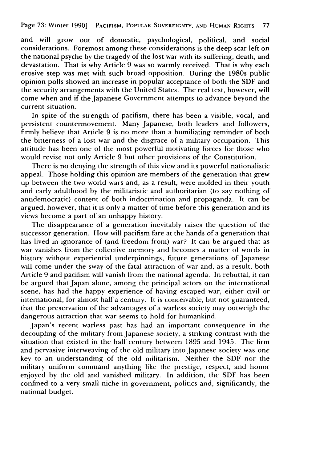and will grow out of domestic, psychological, political, and social considerations. Foremost among these considerations is the deep scar left on the national psyche by the tragedy of the lost war with its suffering, death, and devastation. That is why Article 9 was so warmly received. That is why each erosive step was met with such broad opposition. During the 1980s public opinion polls showed an increase in popular acceptance of both the SDF and the security arrangements with the United States. The real test, however, will come when and if the Japanese Government attempts to advance beyond the current situation.

In spite of the strength of pacifism, there has been a visible, vocal, and persistent countermovement. Many Japanese, both leaders and followers, firmly believe that Article 9 is no more than a humiliating reminder of both the bitterness of a lost war and the disgrace of a military occupation. This attitude has been one of the most powerful motivating forces for those who would revise not only Article 9 but other provisions of the Constitution.

There is no denying the strength of this view and its powerful nationalistic appeal. Those holding this opinion are members of the generation that grew appear. Those notally this equivalent is increased to the set of their youth up between the two world wars and, as a result, were molded in their youth and early adulthood by the militaristic and authoritarian (to say nothing of antidemocratic) content of both indoctrination and propaganda. It can be argued, however, that it is only a matter of time before this generation and its views become a part of an unhappy history.

The disappearance of a generation inevitably raises the question of the successor generation. How will pacifism fare at the hands of a generation that has lived in ignorance of (and freedom from) war? It can be argued that as war vanishes from the collective memory and becomes a matter of words in history without experiential underpinnings, future generations of Japanese will come under the sway of the fatal attraction of war and, as a result, both Article 9 and pacifism will vanish from the national agenda. In rebuttal, it can be argued that Japan alone, among the principal actors on the international scene, has had the happy experience of having escaped war, either civil or international, for almost half a century. It is conceivable, but not guaranteed, that the preservation of the advantages of a warless society may outweigh the dangerous attraction that war seems to hold for humankind.

Japan's recent warless past has had an important consequence in the decoupling of the military from Japanese society, a striking contrast with the situation that existed in the half century between 1895 and 1945. The firm and pervasive interweaving of the old military into Japanese society was one key to an understanding of the old militarism. Neither the SDF nor the military uniform command anything like the prestige, respect, and honor enjoyed by the old and vanished military. In addition, the SDF has been confined to a very small niche in government, politics and, significantly, the national budget.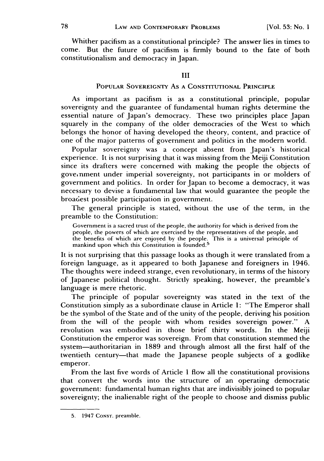Whither pacifism as a constitutional principle? The answer lies in times to come. But the future of pacifism is firmly bound to the fate of both constitutionalism and democracy in Japan.

### III

## POPULAR SOVEREIGNTY As A CONSTITUTIONAL PRINCIPLE

As important as pacifism is as a constitutional principle, popular sovereignty and the guarantee of fundamental human rights determine the essential nature of Japan's democracy. These two principles place Japan squarely in the company of the older democracies of the West to which belongs the honor of having developed the theory, content, and practice of one of the major patterns of government and politics in the modern world.

Popular sovereignty was a concept absent from Japan's historical experience. It is not surprising that it was missing from the Meiji Constitution since its drafters were concerned with making the people the objects of gove.nment under imperial sovereignty, not participants in or molders of government and politics. In order for Japan to become a democracy, it was necessary to devise a fundamental law that would guarantee the people the broadest possible participation in government.

The general principle is stated, without the use of the term, in the preamble to the Constitution:

Government is a sacred trust of the people, the authority for which is derived from the people, the powers of which are exercised by the representatives of the people, and the benefits of which are enjoyed by the people. This is a universal principle of mankind upon which this Constitution is founded.<sup>5</sup>

It is not surprising that this passage looks as though it were translated from a foreign language, as it appeared to both Japanese and foreigners in 1946. The thoughts were indeed strange, even revolutionary, in terms of the history of Japanese political thought. Strictly speaking, however, the preamble's language is mere rhetoric.

The principle of popular sovereignty was stated in the text of the Constitution simply as a subordinate clause in Article 1: "The Emperor shall be the symbol of the State and of the unity of the people, deriving his position from the will of the people with whom resides sovereign power." A revolution was embodied in those brief thirty words. In the Meiji Constitution the emperor was sovereign. From that constitution stemmed the system-authoritarian in 1889 and through almost all the first half of the twentieth century-that made the Japanese people subjects of a godlike emperor.

From the last five words of Article **I** flow all the constitutional provisions that convert the words into the structure of an operating democratic government: fundamental human rights that are indivisibly joined to popular sovereignty; the inalienable right of the people to choose and dismiss public

<sup>5. 1947</sup> CONST. preamble.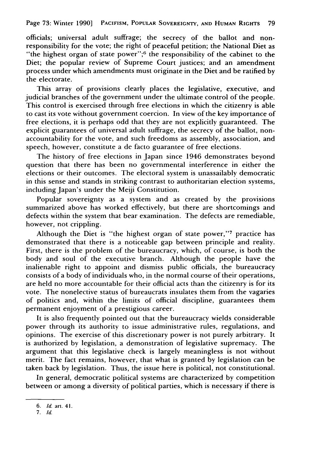officials; universal adult suffrage; the secrecy of the ballot and nonresponsibility for the vote; the right of peaceful petition; the National Diet as "the highest organ of state power";<sup>6</sup> the responsibility of the cabinet to the Diet; the popular review of Supreme Court justices; and an amendment process under which amendments must originate in the Diet and be ratified by the electorate.

This array of provisions clearly places the legislative, executive, and judicial branches of the government under the ultimate control of the people. This control is exercised through free elections in which the citizenry is able to cast its vote without government coercion. In view of the key importance of free elections, it is perhaps odd that they are not explicitly guaranteed. The explicit guarantees of universal adult suffrage, the secrecy of the ballot, nonaccountability for the vote, and such freedoms as assembly, association, and speech, however, constitute a de facto guarantee of free elections.

The history of free elections in Japan since 1946 demonstrates beyond question that there has been no governmental interference in either the elections or their outcomes. The electoral system is unassailably democratic in this sense and stands in striking contrast to authoritarian election systems, including Japan's under the Meiji Constitution.

Popular sovereignty as a system and as created by the provisions summarized above has worked effectively, but there are shortcomings and defects within the system that bear examination. The defects are remediable, however, not crippling.

Although the Diet is "the highest organ of state power,"<sup>7</sup> practice has demonstrated that there is a noticeable gap between principle and reality. First, there is the problem of the bureaucracy, which, of course, is both the body and soul of the executive branch. Although the people have the inalienable right to appoint and dismiss public officials, the bureaucracy consists of a body of individuals who, in the normal course of their operations, are held no more accountable for their official acts than the citizenry is for its vote. The nonelective status of bureaucrats insulates them from the vagaries of politics and, within the limits of official discipline, guarantees them permanent enjoyment of a prestigious career.

It is also frequently pointed out that the bureaucracy wields considerable power through its authority to issue administrative rules, regulations, and opinions. The exercise of this discretionary power is not purely arbitrary. It is authorized by legislation, a demonstration of legislative supremacy. The argument that this legislative check is largely meaningless is not without merit. The fact remains, however, that what is granted by legislation can be taken back by legislation. Thus, the issue here is political, not constitutional.

In general, democratic political systems are characterized by competition between or among a diversity of political parties, which is necessary if there is

*<sup>6.</sup> Id.* **art. 41.**

*<sup>7.</sup> Id.*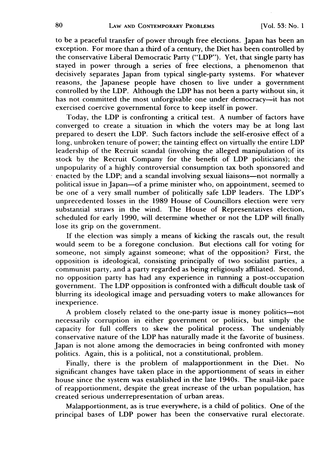to be a peaceful transfer of power through free elections. Japan has been an exception. For more than a third of a century, the Diet has been controlled by the conservative Liberal Democratic Party ("LDP"). Yet, that single party has stayed in power through a series of free elections, a phenomenon that decisively separates Japan from typical single-party systems. For whatever reasons, the Japanese people have chosen to live under a government controlled by the LDP. Although the LDP has not been a party without sin, it has not committed the most unforgivable one under democracy-it has not exercised coercive governmental force to keep itself in power.

Today, the LDP is confronting a critical test. A number of factors have converged to create a situation in which the voters may be at long last prepared to desert the LDP. Such factors include the self-erosive effect of a long, unbroken tenure of power; the tainting effect on virtually the entire LDP leadership of the Recruit scandal (involving the alleged manipulation of its stock by the Recruit Company for the benefit of LDP politicians); the unpopularity of a highly controversial consumption tax both sponsored and enacted by the LDP; and a scandal involving sexual liaisons-not normally a political issue in Japan-of a prime minister who, on appointment, seemed to be one of a very small number of politically safe LDP leaders. The LDP's unprecedented losses in the 1989 House of Councillors election were very substantial straws in the wind. The House of Representatives election, scheduled for early 1990, will determine whether or not the LDP will finally lose its grip on the government.

If the election was simply a means of kicking the rascals out, the result would seem to be a foregone conclusion. But elections call for voting for someone, not simply against someone; what of the opposition? First, the opposition is ideological, consisting principally of two socialist parties, a communist party, and a party regarded as being religiously affiliated. Second, no opposition party has had any experience in running a post-occupation government. The LDP opposition is confronted with a difficult double task of blurring its ideological image and persuading voters to make allowances for inexperience.

A problem closely related to the one-party issue is money politics—not necessarily corruption in either government or politics, but simply the capacity for full coffers to skew the political process. The undeniably conservative nature of the LDP has naturally made it the favorite of business. Japan is not alone among the democracies in being confronted with money politics. Again, this is a political, not a constitutional, problem.

Finally, there is the problem of malapportionment in the Diet. No significant changes have taken place in the apportionment of seats in either house since the system was established in the late 1940s. The snail-like pace of reapportionment, despite the great increase of the urban population, has created serious underrepresentation of urban areas.

Malapportionment, as is true everywhere, is a child of politics. One of the principal bases of LDP power has been the conservative rural electorate.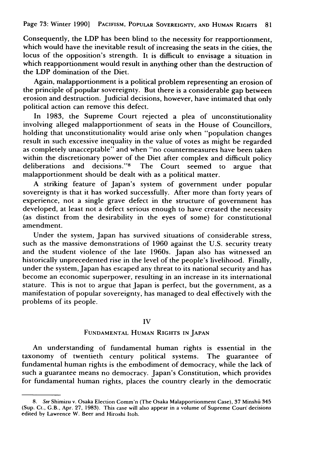Consequently, the LDP has been blind to the necessity for reapportionment, which would have the inevitable result of increasing the seats in the cities, the locus of the opposition's strength. It is difficult to envisage a situation in which reapportionment would result in anything other than the destruction of the LDP domination of the Diet.

Again, malapportionment is a political problem representing an erosion of the principle of popular sovereignty. But there is a considerable gap between erosion and destruction. Judicial decisions, however, have intimated that only political action can remove this defect.

In 1983, the Supreme Court rejected a plea of unconstitutionality involving alleged malapportionment of seats in the House of Councillors, holding that unconstitutionality would arise only when "population changes result in such excessive inequality in the value of votes as might be regarded as completely unacceptable" and when "no countermeasures have been taken within the discretionary power of the Diet after complex and difficult policy deliberations and decisions."<sup>8</sup> The Court seemed to argue that malapportionment should be dealt with as a political matter.

A striking feature of Japan's system of government under popular sovereignty is that it has worked successfully. After more than forty years of experience, not a single grave defect in the structure of government has developed, at least not a defect serious enough to have created the necessity (as distinct from the desirability in the eyes of some) for constitutional amendment.

Under the system, Japan has survived situations of considerable stress, such as the massive demonstrations of 1960 against the U.S. security treaty and the student violence of the late 1960s. Japan also has witnessed an historically unprecedented rise in the level of the people's livelihood. Finally, under the system, Japan has escaped any threat to its national security and has become an economic superpower, resulting in an increase in its international stature. This is not to argue that Japan is perfect, but the government, as a manifestation of popular sovereignty, has managed to deal effectively with the problems of its people.

### IV

## FUNDAMENTAL HUMAN RIGHTS IN JAPAN

An understanding of fundamental human rights is essential in the taxonomy of twentieth century political systems. The guarantee of fundamental human rights is the embodiment of democracy, while the lack of such a guarantee means no democracy. Japan's Constitution, which provides for fundamental human rights, places the country clearly in the democratic

<sup>8.</sup> See Shimizu v. Osaka Election Comm'n (The Osaka Malapportionment Case), 37 Minshai 345 (Sup. Ct., G.B., Apr. 27, 1983). This case will also appear in a volume of Supreme Court decisions edited by Lawrence W. Beer and Hiroshi Itoh.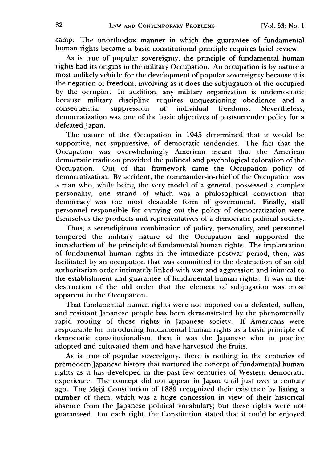camp. The unorthodox manner in which the guarantee of fundamental human rights became a basic constitutional principle requires brief review.

As is true of popular sovereignty, the principle of fundamental human rights had its origins in the military Occupation. An occupation is by nature a most unlikely vehicle for the development of popular sovereignty because it is the negation of freedom, involving as it does the subjugation of the occupied by the occupier. In addition, any military organization is undemocratic because military discipline requires unquestioning obedience and a consequential suppression of individual freedoms. Nevertheless, democratization was one of the basic objectives of postsurrender policy for a defeated Japan.

The nature of the Occupation in 1945 determined that it would be supportive, not suppressive, of democratic tendencies. The fact that the Occupation was overwhelmingly American meant that the American democratic tradition provided the political and psychological coloration of the Occupation. Out of that framework came the Occupation policy of democratization. By accident, the commander-in-chief of the Occupation was a man who, while being the very model of a general, possessed a complex personality, one strand of which was a philosophical conviction that democracy was the most desirable form of government. Finally, staff personnel responsible for carrying out the policy of democratization were themselves the products and representatives of a democratic political society.

Thus, a serendipitous combination of policy, personality, and personnel tempered the military nature of the Occupation and supported the introduction of the principle of fundamental human rights. The implantation of fundamental human rights in the immediate postwar period, then, was facilitated by an occupation that was committed to the destruction of an old authoritarian order intimately linked with war and aggression and inimical to the establishment and guarantee of fundamental human rights. It was in the destruction of the old order that the element of subjugation was most apparent in the Occupation.

That fundamental human rights were not imposed on a defeated, sullen, and resistant Japanese people has been demonstrated by the phenomenally rapid rooting of those rights in Japanese society. If Americans were responsible for introducing fundamental human rights as a basic principle of democratic constitutionalism, then it was the Japanese who in practice adopted and cultivated them and have harvested the fruits.

As is true of popular sovereignty, there is nothing in the centuries of premodern Japanese history that nurtured the concept of fundamental human rights as it has developed in the past few centuries of Western democratic experience. The concept did not appear in Japan until just over a century ago. The Meiji Constitution of 1889 recognized their existence by listing a number of them, which was a huge concession in view of their historical absence from the Japanese political vocabulary; but these rights were not guaranteed. For each right, the Constitution stated that it could be enjoyed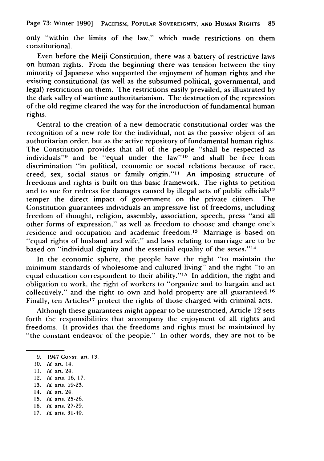only "within the limits of the law," which made restrictions on them constitutional.

Even before the Meiji Constitution, there was a battery of restrictive laws on human rights. From the beginning there was tension between the tiny minority of Japanese who supported the enjoyment of human rights and the existing constitutional (as well as the subsumed political, governmental, and legal) restrictions on them. The restrictions easily prevailed, as illustrated **by** the dark valley of wartime authoritarianism. The destruction of the repression of the old regime cleared the way for the introduction of fundamental human rights.

Central to the creation of a new democratic constitutional order was the recognition of a new role for the individual, not as the passive object of an authoritarian order, but as the active repository of fundamental human rights. The Constitution provides that all of the people "shall be respected as individuals" $\frac{1}{9}$  and be "equal under the law" $\frac{1}{10}$  and shall be free from discrimination "in political, economic or social relations because of race, creed, sex, social status or family origin."" An imposing structure of freedoms and rights is built on this basic framework. The rights to petition and to sue for redress for damages caused by illegal acts of public officials<sup>12</sup> temper the direct impact of government on the private citizen. The Constitution guarantees individuals an impressive list of freedoms, including freedom of thought, religion, assembly, association, speech, press "and all other forms of expression," as well as freedom to choose and change one's residence and occupation and academic freedom.<sup>13</sup> Marriage is based on "equal rights of husband and wife," and laws relating to marriage are to be based on "individual dignity and the essential equality of the sexes."<sup>14</sup>

In the economic sphere, the people have the right "to maintain the minimum standards of wholesome and cultured living" and the right "to an equal education correspondent to their ability."<sup>15</sup> In addition, the right and obligation to work, the right of workers to "organize and to bargain and act collectively," and the right to own and hold property are all guaranteed. <sup>16</sup> Finally, ten Articles<sup>17</sup> protect the rights of those charged with criminal acts.

Although these guarantees might appear to be unrestricted, Article 12 sets forth the responsibilities that accompany the enjoyment of all rights and freedoms. It provides that the freedoms and rights must be maintained **by** "the constant endeavor of the people." In other words, they are not to be

- 12. *Id.* arts. 16, 17.
- **13.** *Id.* arts. **19-23.**
- 14. *Id.* art. 24.
- **15.** *Id.* arts. **25-26.**
- 16. *Id.* arts. 27-29.
- 17. *Id.* arts. 31-40.

<sup>9. 1947</sup> CONST. art. **13.**

<sup>10.</sup> *Id.* art. 14.

**<sup>11.</sup>** *Id.* art. 24.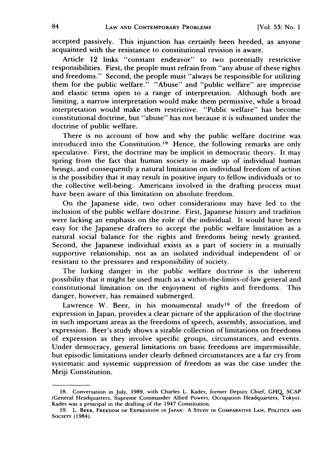accepted passively. This injunction has certainly been heeded, as anyone acquainted with the resistance to constitutional revision is aware.

Article 12 links "constant endeavor" to two potentially restrictive responsibilities. First, the people must refrain from "any abuse of these rights and freedoms." Second, the people must "always be responsible for utilizing them for the public welfare." "Abuse" and "public welfare" are imprecise and elastic terms open to a range of interpretation. Although both are limiting, a narrow interpretation would make them permissive, while a broad interpretation would make them restrictive. "Public welfare" has become constitutional doctrine, but "abuse" has not because it is subsumed under the doctrine of public welfare.

There is no account of how and why the public welfare doctrine was introduced into the Constitution.<sup>18</sup> Hence, the following remarks are only speculative. First, the doctrine may be implicit in democratic theory. It may spring from the fact that human society is made up of individual human beings, and consequently a natural limitation on individual freedom of action is the possibility that it may result in positive injury to fellow individuals or to the collective well-being. Americans involved in the drafting process must have been aware of this limitation on absolute freedom.

On the Japanese side, two other considerations may have led to the inclusion of the public welfare doctrine. First, Japanese history and tradition were lacking an emphasis on the role of the individual. It would have been easy for the Japanese drafters to accept the public welfare limitation as a natural social balance for the rights and freedoms being newly granted. Second, the Japanese individual exists as a part of society in a mutually supportive relationship, not as an isolated individual independent of or resistant to the pressures and responsibility of society.

The lurking danger in the public welfare doctrine is the inherent possibility that it might be used much as a within-the-limits-of-law general and constitutional limitation on the enjoyment of rights and freedoms. This danger, however, has remained submerged.

Lawrence W. Beer, in his monumental study<sup>19</sup> of the freedom of expression in Japan, provides a clear picture of the application of the doctrine in such important areas as the freedoms of speech, assembly, association, and expression. Beer's study shows a sizable collection of limitations on freedoms of expression as they involve specific groups, circumstances, and events. Under democracy, general limitations on basic freedoms are impermissible, but episodic limitations under clearly defined circumstances are a far cry from systematic and systemic suppression of freedom as was the case under the Meiji Constitution.

<sup>18.</sup> Conversation in July, 1989, with Charles L. Kades, former Deputy Chief, GHQ, SCAP (General Headquarters, Supreme Commander Allied Powers, Occupation Headquarters, Tokyo). Kades was a principal in the drafting of the 1947 Constitution.

**<sup>19.</sup>** L. **BEER,** FREEDOM **OF EXPRESSION IN JAPAN:** A **STUDY IN COMPARATIVE LAW, POLITICS AND SOCIETY** (1984).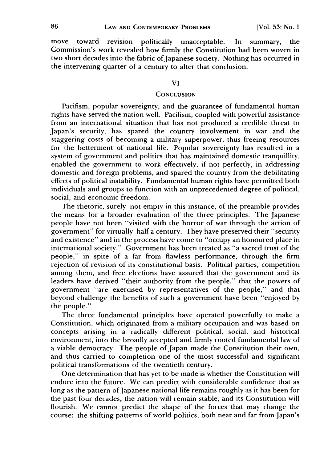move toward revision politically unacceptable. In summary, the Commission's work revealed how firmly the Constitution had been woven in two short decades into the fabric of Japanese society. Nothing has occurred in the intervening quarter of a century to alter that conclusion.

#### VI

### **CONCLUSION**

Pacifism, popular sovereignty, and the guarantee of fundamental human rights have served the nation well. Pacifism, coupled with powerful assistance from an international situation that has not produced a credible threat to Japan's security, has spared the country involvement in war and the staggering costs of becoming a military superpower, thus freeing resources for the betterment of national life. Popular sovereignty has resulted in a system of government and politics that has maintained domestic tranquillity, enabled the government to work effectively, if not perfectly, in addressing domestic and foreign problems, and spared the country from the debilitating effects of political instability. Fundamental human rights have permitted both individuals and groups to function with an unprecedented degree of political, social, and economic freedom.

The rhetoric, surely not empty in this instance, of the preamble provides the means for a broader evaluation of the three principles. The Japanese people have not been "visited with the horror of war through the action of government" for virtually half a century. They have preserved their "security and existence" and in the process have come to "occupy an honoured place in international society." Government has been treated as "a sacred trust of the people," in spite of a far from flawless performance, through the firm rejection of revision of its constitutional basis. Political parties, competition among them, and free elections have assured that the government and its leaders have derived "their authority from the people," that the powers of government "are exercised by representatives of the people," and that beyond challenge the benefits of such a government have been "enjoyed by the people."

The three fundamental principles have operated powerfully to make a Constitution, which originated from a military occupation and was based on concepts arising in a radically different political, social, and historical environment, into the broadly accepted and firmly rooted fundamental law of a viable democracy. The people of Japan made the Constitution their own, and thus carried to completion one of the most successful and significant political transformations of the twentieth century.

One determination that has yet to be made is whether the Constitution will endure into the future. We can predict with considerable confidence that as long as the pattern of Japanese national life remains roughly as it has been for the past four decades, the nation will remain stable, and its Constitution will flourish. We cannot predict the shape of the forces that may change the course: the shifting patterns of world politics, both near and far from Japan's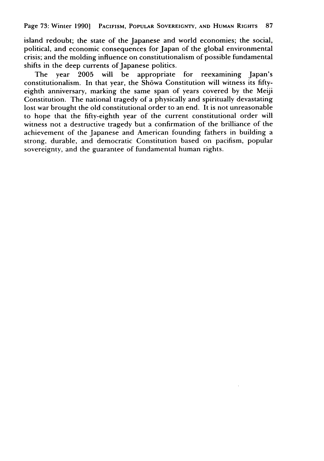Page **73:** Winter **1990] PACIFISM, POPULAR** SOVEREIGNTY, **AND HUMAN RIGHTS 87**

island redoubt; the state of the Japanese and world economies; the social, political, and economic consequences for Japan of the global environmental crisis; and the molding influence on constitutionalism of possible fundamental shifts in the deep currents of Japanese politics.<br>The vear 2005 will be appropriate

The year **2005** will be appropriate for reexamining Japan's constitutionalism. In that year, the Shōwa Constitution will witness its fiftyeighth anniversary, marking the same span of years covered **by** the Meiji Constitution. The national tragedy of a physically and spiritually devastating lost war brought the old constitutional order to an end. It is not unreasonable to hope that the fifty-eighth year of the current constitutional order will witness not a destructive tragedy but a confirmation of the brilliance of the achievement of the Japanese and American founding fathers in building a strong, durable, and democratic Constitution based on pacifism, popular sovereignty, and the guarantee of fundamental human rights.